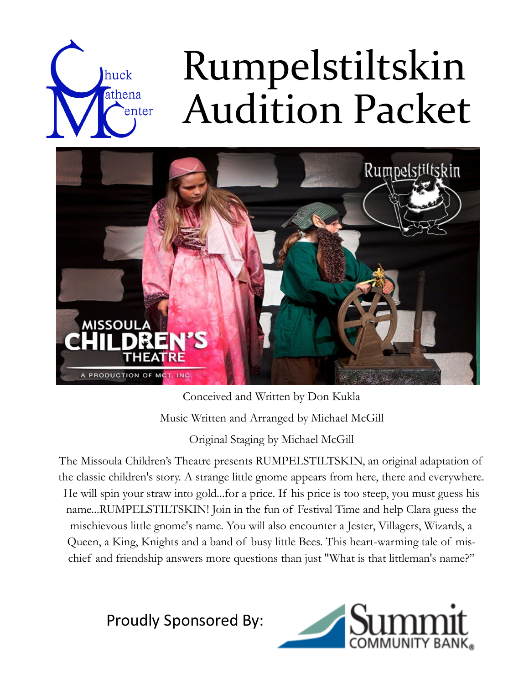

# Rumpelstiltskin Audition Packet



Conceived and Written by Don Kukla Music Written and Arranged by Michael McGill Original Staging by Michael McGill

The Missoula Children's Theatre presents RUMPELSTILTSKIN, an original adaptation of the classic children's story. A strange little gnome appears from here, there and everywhere. He will spin your straw into gold...for a price. If his price is too steep, you must guess his name...RUMPELSTILTSKIN! Join in the fun of Festival Time and help Clara guess the mischievous little gnome's name. You will also encounter a Jester, Villagers, Wizards, a Queen, a King, Knights and a band of busy little Bees. This heart-warming tale of mischief and friendship answers more questions than just "What is that littleman's name?"

Proudly Sponsored By:

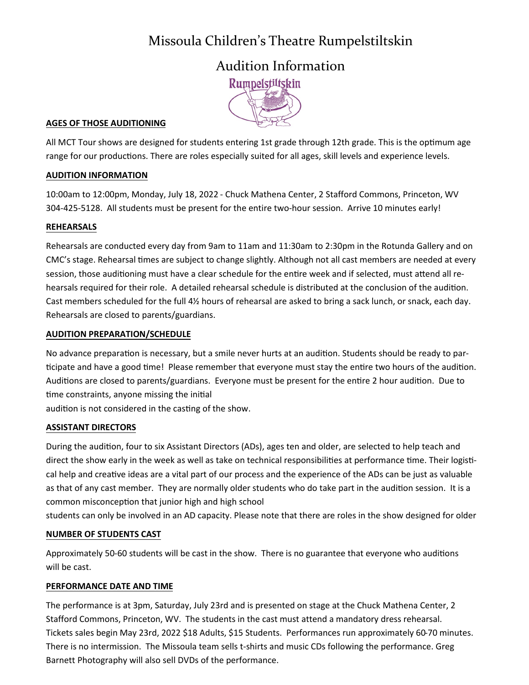### Missoula Children's Theatre Rumpelstiltskin

Audition Information **Rumpelstiltskin** 

#### **AGES OF THOSE AUDITIONING**

All MCT Tour shows are designed for students entering 1st grade through 12th grade. This is the optimum age range for our productions. There are roles especially suited for all ages, skill levels and experience levels.

#### **AUDITION INFORMATION**

10:00am to 12:00pm, Monday, July 18, 2022 - Chuck Mathena Center, 2 Stafford Commons, Princeton, WV 304-425-5128. All students must be present for the entire two-hour session. Arrive 10 minutes early!

#### **REHEARSALS**

Rehearsals are conducted every day from 9am to 11am and 11:30am to 2:30pm in the Rotunda Gallery and on CMC's stage. Rehearsal times are subject to change slightly. Although not all cast members are needed at every session, those auditioning must have a clear schedule for the entire week and if selected, must attend all rehearsals required for their role. A detailed rehearsal schedule is distributed at the conclusion of the audition. Cast members scheduled for the full 4½ hours of rehearsal are asked to bring a sack lunch, or snack, each day. Rehearsals are closed to parents/guardians.

#### **AUDITION PREPARATION/SCHEDULE**

No advance preparation is necessary, but a smile never hurts at an audition. Students should be ready to participate and have a good time! Please remember that everyone must stay the entire two hours of the audition. Auditions are closed to parents/guardians. Everyone must be present for the entire 2 hour audition. Due to time constraints, anyone missing the initial audition is not considered in the casting of the show.

#### **ASSISTANT DIRECTORS**

During the audition, four to six Assistant Directors (ADs), ages ten and older, are selected to help teach and direct the show early in the week as well as take on technical responsibilities at performance time. Their logistical help and creative ideas are a vital part of our process and the experience of the ADs can be just as valuable as that of any cast member. They are normally older students who do take part in the audition session. It is a common misconception that junior high and high school

students can only be involved in an AD capacity. Please note that there are roles in the show designed for older

#### **NUMBER OF STUDENTS CAST**

Approximately 50-60 students will be cast in the show. There is no guarantee that everyone who auditions will be cast.

#### **PERFORMANCE DATE AND TIME**

The performance is at 3pm, Saturday, July 23rd and is presented on stage at the Chuck Mathena Center, 2 Stafford Commons, Princeton, WV. The students in the cast must attend a mandatory dress rehearsal. Tickets sales begin May 23rd, 2022 \$18 Adults, \$15 Students. Performances run approximately 60-70 minutes. There is no intermission. The Missoula team sells t-shirts and music CDs following the performance. Greg Barnett Photography will also sell DVDs of the performance.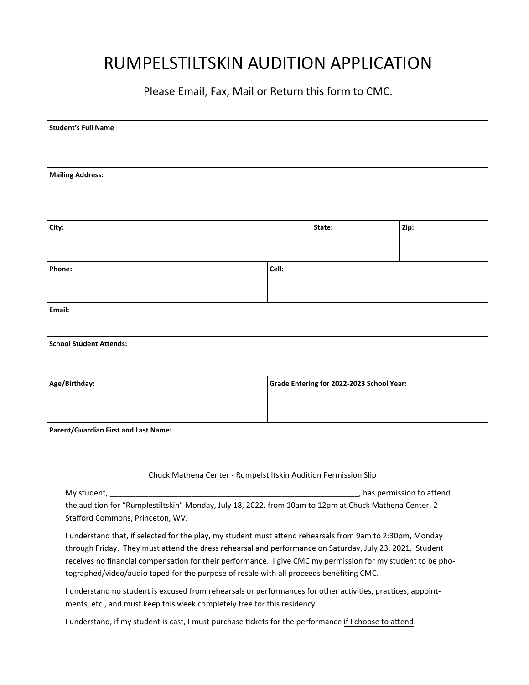# RUMPELSTILTSKIN AUDITION APPLICATION

Please Email, Fax, Mail or Return this form to CMC.

| <b>Student's Full Name</b>                  |                                           |        |      |  |  |  |
|---------------------------------------------|-------------------------------------------|--------|------|--|--|--|
| <b>Mailing Address:</b>                     |                                           |        |      |  |  |  |
| City:                                       |                                           | State: | Zip: |  |  |  |
| Phone:                                      | Cell:                                     |        |      |  |  |  |
| Email:                                      |                                           |        |      |  |  |  |
| <b>School Student Attends:</b>              |                                           |        |      |  |  |  |
| Age/Birthday:                               | Grade Entering for 2022-2023 School Year: |        |      |  |  |  |
| <b>Parent/Guardian First and Last Name:</b> |                                           |        |      |  |  |  |

Chuck Mathena Center - Rumpelstiltskin Audition Permission Slip

| My student,                                                                                            | , has permission to attend |
|--------------------------------------------------------------------------------------------------------|----------------------------|
| the audition for "Rumplestiltskin" Monday, July 18, 2022, from 10am to 12pm at Chuck Mathena Center, 2 |                            |
| Stafford Commons, Princeton, WV.                                                                       |                            |

I understand that, if selected for the play, my student must attend rehearsals from 9am to 2:30pm, Monday through Friday. They must attend the dress rehearsal and performance on Saturday, July 23, 2021. Student receives no financial compensation for their performance. I give CMC my permission for my student to be photographed/video/audio taped for the purpose of resale with all proceeds benefiting CMC.

I understand no student is excused from rehearsals or performances for other activities, practices, appointments, etc., and must keep this week completely free for this residency.

I understand, if my student is cast, I must purchase tickets for the performance if I choose to attend.